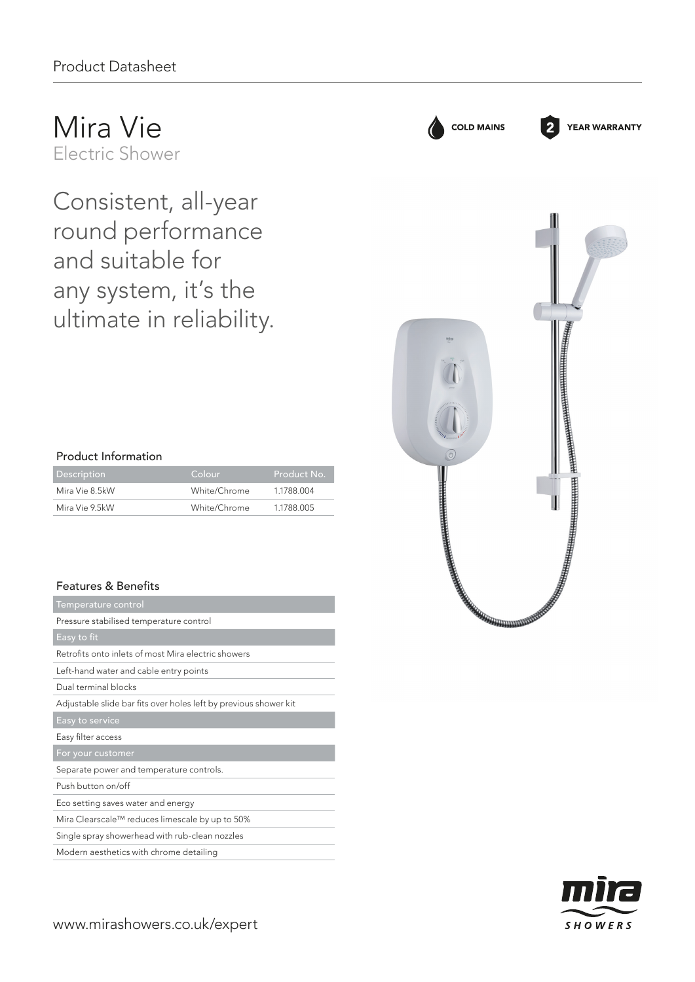Mira Vie Electric Shower

Consistent, all-year round performance and suitable for any system, it's the ultimate in reliability.

## Product Information

| Description    | Colour       | 'Product No. |
|----------------|--------------|--------------|
| Mira Vie 8.5kW | White/Chrome | 1 1788 004   |
| Mira Vie 9.5kW | White/Chrome | 1.1788.005   |

## Features & Benefits

| Temperature control                                              |
|------------------------------------------------------------------|
| Pressure stabilised temperature control                          |
| Easy to fit                                                      |
| Retrofits onto inlets of most Mira electric showers              |
| Left-hand water and cable entry points                           |
| Dual terminal blocks                                             |
| Adjustable slide bar fits over holes left by previous shower kit |
| Easy to service                                                  |
| Easy filter access                                               |
| For your customer                                                |
| Separate power and temperature controls.                         |
| Push button on/off                                               |
| Eco setting saves water and energy                               |
| Mira Clearscale™ reduces limescale by up to 50%                  |
| Single spray showerhead with rub-clean nozzles                   |
| Modern aesthetics with chrome detailing                          |